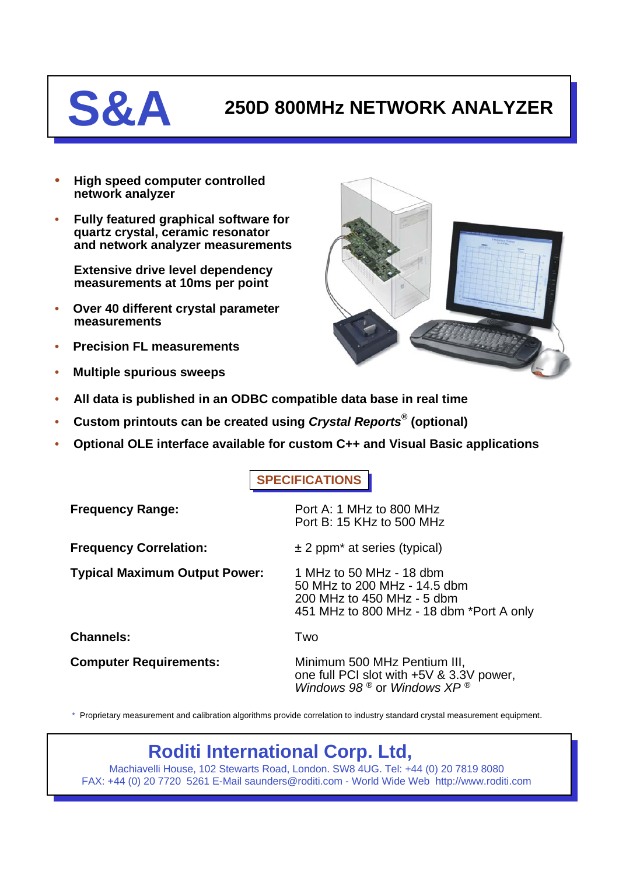## **S&A 250D 800MHz NETWORK ANALYZER**

- **High speed computer controlled network analyzer**
- **Fully featured graphical software for quartz crystal, ceramic resonator and network analyzer measurements**

**Extensive drive level dependency measurements at 10ms per point**

- **Over 40 different crystal parameter measurements**
- **Precision FL measurements**
- **Multiple spurious sweeps**



- **All data is published in an ODBC compatible data base in real time**
- **Custom printouts can be created using** *Crystal Reports®* **(optional)**
- **Optional OLE interface available for custom C++ and Visual Basic applications**

## **SPECIFICATIONS**

| <b>Frequency Range:</b>              | Port A: 1 MHz to 800 MHz<br>Port B: 15 KHz to 500 MHz                                                                              |
|--------------------------------------|------------------------------------------------------------------------------------------------------------------------------------|
| <b>Frequency Correlation:</b>        | $\pm$ 2 ppm <sup>*</sup> at series (typical)                                                                                       |
| <b>Typical Maximum Output Power:</b> | 1 MHz to 50 MHz - 18 dbm<br>50 MHz to 200 MHz - 14.5 dbm<br>200 MHz to 450 MHz - 5 dbm<br>451 MHz to 800 MHz - 18 dbm *Port A only |
| <b>Channels:</b>                     | Two                                                                                                                                |
| <b>Computer Requirements:</b>        | Minimum 500 MHz Pentium III,<br>one full PCI slot with +5V & 3.3V power,<br>Windows 98 ® or Windows $XP$ ®                         |

\* Proprietary measurement and calibration algorithms provide correlation to industry standard crystal measurement equipment.

## **Roditi International Corp. Ltd,**

Machiavelli House, 102 Stewarts Road, London. SW8 4UG. Tel: +44 (0) 20 7819 8080 FAX: +44 (0) 20 7720 5261 E-Mail saunders@roditi.com - World Wide Web http://www.roditi.com